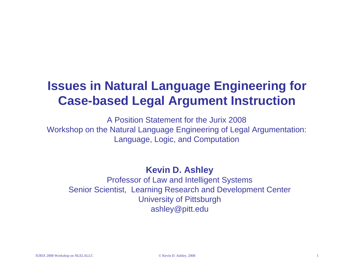## **Issues in Natural Language Engineering for Case-based Legal Argument Instruction**

A Position Statement for the Jurix 2008Workshop on the Natural Language Engineering of Legal Argumentation: Language, Logic, and Computation

**Kevin D. Ashley**

Professor of Law and Intelligent Systems Senior Scientist, Learning Research and Development Center University of Pittsburgh ashley@pitt.edu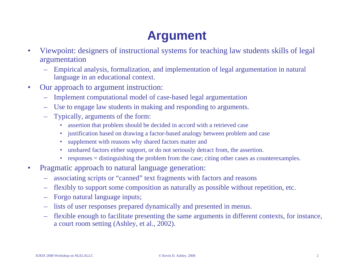# **Argument**

- Viewpoint: designers of instructional systems for teaching law students skills of legal argumentation
	- Empirical analysis, formalization, and implementation of legal argumentation in natural language in an educational context.
- Our approach to argument instruction:
	- Implement computational model of case-based legal argumentation
	- Use to engage law students in making and responding to arguments.
	- Typically, arguments of the form:
		- assertion that problem should be decided in accord with a retrieved case
		- justification based on drawing a factor-based analogy between problem and case
		- supplement with reasons why shared factors matter and
		- unshared factors either support, or do not seriously detract from, the assertion.
		- responses = distinguishing the problem from the case; citing other cases as counterexamples.
- Pragmatic approach to natural language generation:
	- associating scripts or "canned" text fragments with factors and reasons
	- flexibly to support some composition as naturally as possible without repetition, etc.
	- Forgo natural language inputs;
	- lists of user responses prepared dynamically and presented in menus.
	- flexible enough to facilitate presenting the same arguments in different contexts, for instance, a court room setting (Ashley, et al., 2002).